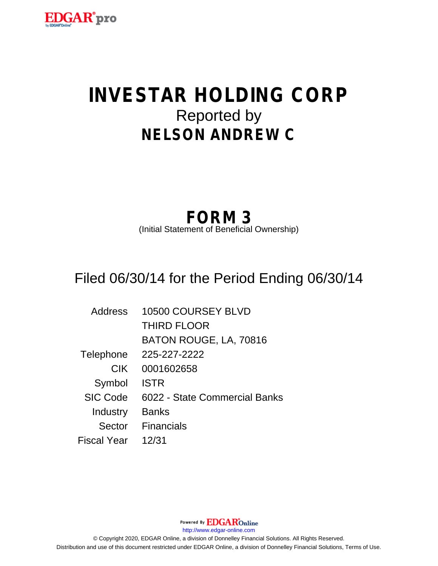

# **INVESTAR HOLDING CORP** Reported by **NELSON ANDREW C**

## **FORM 3**

(Initial Statement of Beneficial Ownership)

## Filed 06/30/14 for the Period Ending 06/30/14

| Address         | 10500 COURSEY BLVD            |
|-----------------|-------------------------------|
|                 | <b>THIRD FLOOR</b>            |
|                 | BATON ROUGE, LA, 70816        |
| Telephone       | 225-227-2222                  |
| <b>CIK</b>      | 0001602658                    |
| Symbol          | <b>ISTR</b>                   |
| <b>SIC Code</b> | 6022 - State Commercial Banks |
| Industry        | <b>Banks</b>                  |
| Sector          | <b>Financials</b>             |
| Fiscal Year     | 12/31                         |

Powered By **EDGAR**Online http://www.edgar-online.com © Copyright 2020, EDGAR Online, a division of Donnelley Financial Solutions. All Rights Reserved. Distribution and use of this document restricted under EDGAR Online, a division of Donnelley Financial Solutions, Terms of Use.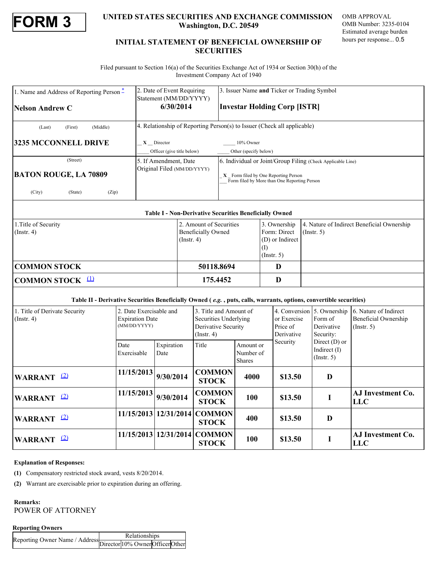

### **FORM 3**<br> **EXECURITIES SECURITIES AND EXCHANGE COMMISSION** OMB APPROVAL<br>
Mashington, D.C. 20549<br>
MB Number: 3235-0104<br>
Estimated average burden<br>
Estimated average burden **Washington, D.C. 20549**

OMB APPROVAL OMB Number: 3235-0104 Estimated average burden hours per response... 0.5

#### **INITIAL STATEMENT OF BENEFICIAL OWNERSHIP OF SECURITIES**

 Filed pursuant to Section 16(a) of the Securities Exchange Act of 1934 or Section 30(h) of the Investment Company Act of 1940

| 1. Name and Address of Reporting Person <sup>*</sup><br><b>Nelson Andrew C</b>                                     |                                        | 2. Date of Event Requiring<br>Statement (MM/DD/YYYY)<br>6/30/2014        |                                                               |                                                                                            | 3. Issuer Name and Ticker or Trading Symbol<br><b>Investar Holding Corp [ISTR]</b> |                                                                                                                                                     |                 |                                                                  |                                                                     |  |  |  |
|--------------------------------------------------------------------------------------------------------------------|----------------------------------------|--------------------------------------------------------------------------|---------------------------------------------------------------|--------------------------------------------------------------------------------------------|------------------------------------------------------------------------------------|-----------------------------------------------------------------------------------------------------------------------------------------------------|-----------------|------------------------------------------------------------------|---------------------------------------------------------------------|--|--|--|
| (Middle)<br>(Last)<br>(First)                                                                                      |                                        |                                                                          |                                                               |                                                                                            | 4. Relationship of Reporting Person(s) to Issuer (Check all applicable)            |                                                                                                                                                     |                 |                                                                  |                                                                     |  |  |  |
| 3235 MCCONNELL DRIVE                                                                                               |                                        | $X$ Director<br>Officer (give title below)                               |                                                               |                                                                                            | 10% Owner<br>Other (specify below)                                                 |                                                                                                                                                     |                 |                                                                  |                                                                     |  |  |  |
| (Street)<br><b>BATON ROUGE, LA 70809</b><br>(City)<br>(State)<br>(Zip)                                             |                                        | 5. If Amendment, Date<br>Original Filed (MM/DD/YYYY)                     |                                                               |                                                                                            |                                                                                    | 6. Individual or Joint/Group Filing (Check Applicable Line)<br>X Form filed by One Reporting Person<br>Form filed by More than One Reporting Person |                 |                                                                  |                                                                     |  |  |  |
|                                                                                                                    |                                        |                                                                          | <b>Table I - Non-Derivative Securities Beneficially Owned</b> |                                                                                            |                                                                                    |                                                                                                                                                     |                 |                                                                  |                                                                     |  |  |  |
| 1. Title of Security<br>$($ Instr. 4 $)$                                                                           |                                        | 2. Amount of Securities<br><b>Beneficially Owned</b><br>$($ Instr. 4 $)$ |                                                               |                                                                                            | 3. Ownership<br>Form: Direct<br>(I)<br>$($ Instr. 5 $)$                            |                                                                                                                                                     | (D) or Indirect | 4. Nature of Indirect Beneficial Ownership<br>$($ Instr. 5 $)$   |                                                                     |  |  |  |
| <b>COMMON STOCK</b>                                                                                                |                                        |                                                                          | 50118.8694                                                    |                                                                                            |                                                                                    | D                                                                                                                                                   |                 |                                                                  |                                                                     |  |  |  |
| COMMON STOCK <sup>(1)</sup>                                                                                        |                                        |                                                                          | 175.4452                                                      |                                                                                            |                                                                                    | D                                                                                                                                                   |                 |                                                                  |                                                                     |  |  |  |
| Table II - Derivative Securities Beneficially Owned (e.g., puts, calls, warrants, options, convertible securities) |                                        |                                                                          |                                                               |                                                                                            |                                                                                    |                                                                                                                                                     |                 |                                                                  |                                                                     |  |  |  |
| 1. Title of Derivate Security<br>$($ Instr. 4 $)$                                                                  | <b>Expiration Date</b><br>(MM/DD/YYYY) | 2. Date Exercisable and                                                  |                                                               | 3. Title and Amount of<br>Securities Underlying<br>Derivative Security<br>$($ Instr. 4 $)$ |                                                                                    | or Exercise<br>Price of<br>Derivative                                                                                                               |                 | 4. Conversion 5. Ownership<br>Form of<br>Derivative<br>Security: | 6. Nature of Indirect<br><b>Beneficial Ownership</b><br>(Insert. 5) |  |  |  |
| Date                                                                                                               | Exercisable                            | Expiration<br>Date                                                       | Title                                                         |                                                                                            | Amount or<br>Number of<br><b>Shares</b>                                            | Security                                                                                                                                            |                 | Direct (D) or<br>Indirect (I)<br>$($ Instr. 5 $)$                |                                                                     |  |  |  |
| WARRANT <sup>(2)</sup>                                                                                             | 11/15/2013                             | 9/30/2014                                                                | <b>STOCK</b>                                                  | <b>COMMON</b>                                                                              | 4000                                                                               |                                                                                                                                                     | \$13.50         | $\mathbf{D}$                                                     |                                                                     |  |  |  |
| WARRANT <sup>(2)</sup>                                                                                             | 11/15/2013                             | 9/30/2014                                                                | <b>STOCK</b>                                                  | <b>COMMON</b>                                                                              | 100                                                                                |                                                                                                                                                     | \$13.50         | I                                                                | AJ Investment Co.<br><b>LLC</b>                                     |  |  |  |
| WARRANT <sup>(2)</sup>                                                                                             |                                        | 11/15/2013 12/31/2014                                                    | <b>STOCK</b>                                                  | <b>COMMON</b>                                                                              | 400                                                                                |                                                                                                                                                     | \$13.50         | D                                                                |                                                                     |  |  |  |
| WARRANT <sup>(2)</sup>                                                                                             |                                        | 11/15/2013 12/31/2014                                                    |                                                               | <b>COMMON</b><br><b>STOCK</b>                                                              | 100                                                                                |                                                                                                                                                     | \$13.50         | I                                                                | AJ Investment Co.<br><b>LLC</b>                                     |  |  |  |

#### **Explanation of Responses:**

<span id="page-1-0"></span>**(1)** Compensatory restricted stock award, vests 8/20/2014.

<span id="page-1-1"></span>**(2)** Warrant are exercisable prior to expiration during an offering.

### **Remarks:**

POWER OF ATTORNEY

#### **Reporting Owners**

| <b>Relationships</b>                                           |  |  |  |  |  |  |  |
|----------------------------------------------------------------|--|--|--|--|--|--|--|
| eporting Owner Name / Address Director 10% Owner Officer Other |  |  |  |  |  |  |  |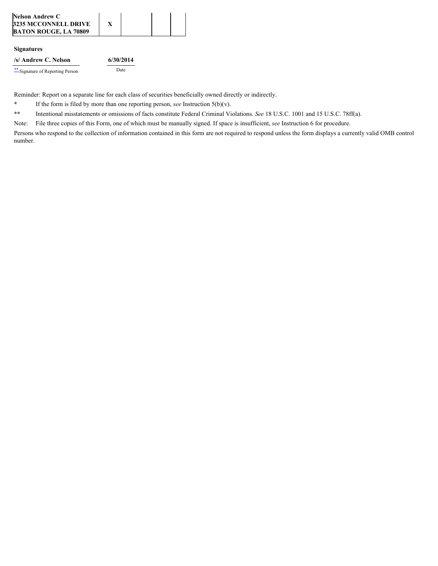| <b>Nelson Andrew C</b>       |  |  |
|------------------------------|--|--|
| 3235 MCCONNELL DRIVE         |  |  |
| <b>BATON ROUGE, LA 70809</b> |  |  |

#### **Signatures**

Reminder: Report on a separate line for each class of securities beneficially owned directly or indirectly.

<span id="page-2-0"></span>**\*** If the form is filed by more than one reporting person, *see* Instruction 5(b)(v).

<span id="page-2-1"></span>**\*\*** Intentional misstatements or omissions of facts constitute Federal Criminal Violations. *See* 18 U.S.C. 1001 and 15 U.S.C. 78ff(a).

Note: File three copies of this Form, one of which must be manually signed. If space is insufficient, *see* Instruction 6 for procedure.

Persons who respond to the collection of information contained in this form are not required to respond unless the form displays a currently valid OMB control number.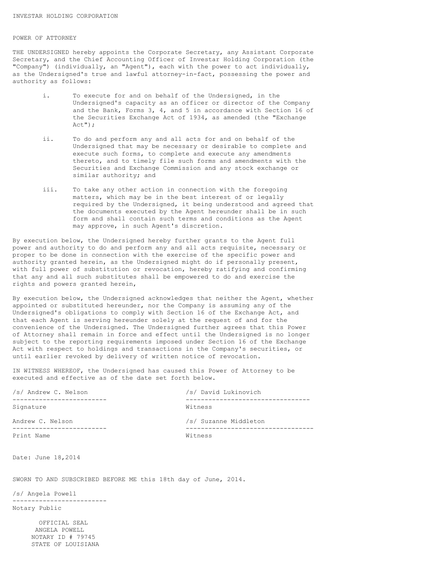#### POWER OF ATTORNEY

THE UNDERSIGNED hereby appoints the Corporate Secretary, any Assistant Corporate Secretary, and the Chief Accounting Officer of Investar Holding Corporation (the "Company") (individually, an "Agent"), each with the power to act individually, as the Undersigned's true and lawful attorney-in-fact, possessing the power and authority as follows:

- i. To execute for and on behalf of the Undersigned, in the Undersigned's capacity as an officer or director of the Company and the Bank, Forms 3, 4, and 5 in accordance with Section 16 of the Securities Exchange Act of 1934, as amended (the "Exchange Act");
	- ii. To do and perform any and all acts for and on behalf of the Undersigned that may be necessary or desirable to complete and execute such forms, to complete and execute any amendments thereto, and to timely file such forms and amendments with the Securities and Exchange Commission and any stock exchange or similar authority; and
	- iii. To take any other action in connection with the foregoing matters, which may be in the best interest of or legally required by the Undersigned, it being understood and agreed that the documents executed by the Agent hereunder shall be in such form and shall contain such terms and conditions as the Agent may approve, in such Agent's discretion.

By execution below, the Undersigned hereby further grants to the Agent full power and authority to do and perform any and all acts requisite, necessary or proper to be done in connection with the exercise of the specific power and authority granted herein, as the Undersigned might do if personally present, with full power of substitution or revocation, hereby ratifying and confirming that any and all such substitutes shall be empowered to do and exercise the rights and powers granted herein,

By execution below, the Undersigned acknowledges that neither the Agent, whether appointed or substituted hereunder, nor the Company is assuming any of the Undersigned's obligations to comply with Section 16 of the Exchange Act, and that each Agent is serving hereunder solely at the request of and for the convenience of the Undersigned. The Undersigned further agrees that this Power of Attorney shall remain in force and effect until the Undersigned is no longer subject to the reporting requirements imposed under Section 16 of the Exchange Act with respect to holdings and transactions in the Company's securities, or until earlier revoked by delivery of written notice of revocation.

IN WITNESS WHEREOF, the Undersigned has caused this Power of Attorney to be executed and effective as of the date set forth below.

| /s/ Andrew C. Nelson | /s/ David Lukinovich  |  |  |  |
|----------------------|-----------------------|--|--|--|
| Signature            | Witness               |  |  |  |
| Andrew C. Nelson     | /s/ Suzanne Middleton |  |  |  |
| Print Name           | Witness               |  |  |  |

Date: June 18,2014

SWORN TO AND SUBSCRIBED BEFORE ME this 18th day of June, 2014.

/s/ Angela Powell

-------------------------

Notary Public

 OFFICIAL SEAL ANGELA POWELL NOTARY ID # 79745 STATE OF LOUISIANA